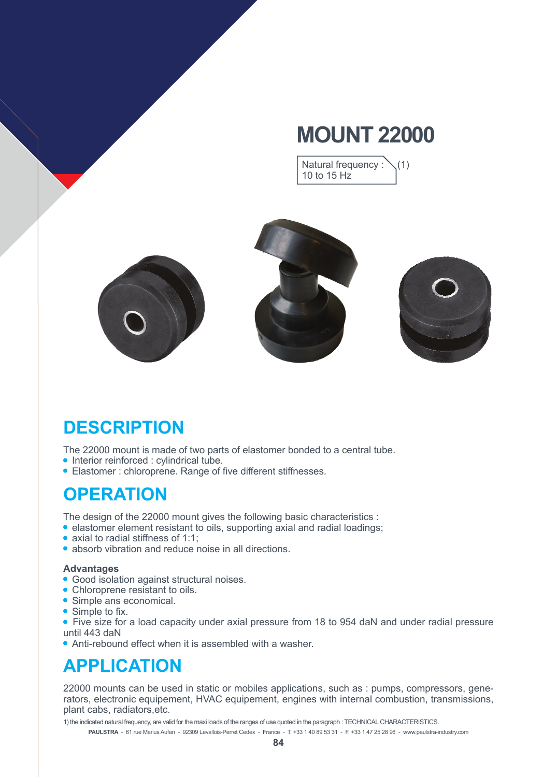# **MOUNT 22000**

Natural frequency :  $\setminus$  (1) 10 to 15 Hz



# **DESCRIPTION**

The 22000 mount is made of two parts of elastomer bonded to a central tube.

- Interior reinforced : cylindrical tube.
- Elastomer : chloroprene. Range of five different stiffnesses.

#### **OPERATION**

The design of the 22000 mount gives the following basic characteristics :

- elastomer element resistant to oils, supporting axial and radial loadings;
- axial to radial stiffness of 1:1:
- absorb vibration and reduce noise in all directions.

#### **Advantages**

- Good isolation against structural noises.
- Chloroprene resistant to oils.
- Simple ans economical.
- $\bullet$  Simple to fix.
- Five size for a load capacity under axial pressure from 18 to 954 daN and under radial pressure until 443 daN
- Anti-rebound effect when it is assembled with a washer.

#### **APPLICATION**

22000 mounts can be used in static or mobiles applications, such as : pumps, compressors, generators, electronic equipement, HVAC equipement, engines with internal combustion, transmissions, plant cabs, radiators,etc.

**PAULSTRA** - 61 rue Marius Aufan - 92309 Levallois-Perret Cedex - France - T. +33 1 40 89 53 31 - F. +33 1 47 25 28 96 - www.paulstra-industry.com 1) the indicated natural frequency, are valid for the maxi loads of the ranges of use quoted in the paragraph : TECHNICAL CHARACTERISTICS.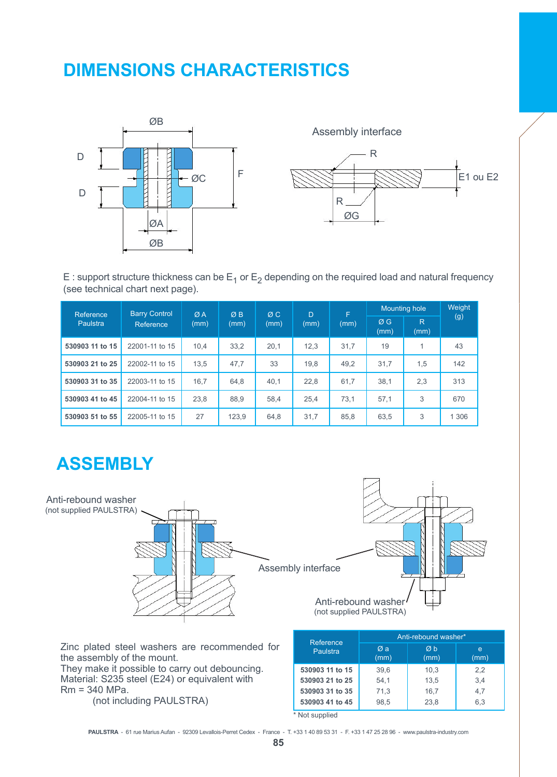### **DIMENSIONS CHARACTERISTICS**



Assembly interface



E : support structure thickness can be  $E_1$  or  $E_2$  depending on the required load and natural frequency (see technical chart next page).

| Reference<br>Paulstra | <b>Barry Control</b><br>Reference | ØA<br>(mm) | ØB<br>(mm) | ØC.<br>(mm) | $\Gamma$<br>(mm) | F<br>(mm) | Mounting hole |           | Weight  |
|-----------------------|-----------------------------------|------------|------------|-------------|------------------|-----------|---------------|-----------|---------|
|                       |                                   |            |            |             |                  |           | ØG<br>(mm)    | R<br>(mm) | (g)     |
| 530903 11 to 15       | 22001-11 to 15                    | 10.4       | 33,2       | 20.1        | 12.3             | 31,7      | 19            |           | 43      |
| 530903 21 to 25       | 22002-11 to 15                    | 13,5       | 47,7       | 33          | 19,8             | 49,2      | 31,7          | 1,5       | 142     |
| 530903 31 to 35       | 22003-11 to 15                    | 16,7       | 64,8       | 40,1        | 22,8             | 61,7      | 38,1          | 2,3       | 313     |
| 530903 41 to 45       | 22004-11 to 15                    | 23,8       | 88.9       | 58.4        | 25.4             | 73.1      | 57.1          | 3         | 670     |
| 530903 51 to 55       | 22005-11 to 15                    | 27         | 123,9      | 64.8        | 31,7             | 85,8      | 63,5          | 3         | 1 3 0 6 |

# **ASSEMBLY**



Zinc plated steel washers are recommended for the assembly of the mount.

They make it possible to carry out debouncing. Material: S235 steel (E24) or equivalent with Rm = 340 MPa. (not including PAULSTRA)

| Reference       | Anti-rebound washer* |                       |           |  |  |  |  |
|-----------------|----------------------|-----------------------|-----------|--|--|--|--|
| Paulstra        | Øa<br>(mm)           | $\emptyset$ h<br>(mm) | e<br>(mm) |  |  |  |  |
| 530903 11 to 15 | 39.6                 | 10.3                  | 2,2       |  |  |  |  |
| 530903 21 to 25 | 54.1                 | 13.5                  | 3,4       |  |  |  |  |
| 530903 31 to 35 | 71,3                 | 16.7                  | 4.7       |  |  |  |  |
| 530903 41 to 45 | 98,5                 | 23.8                  | 6.3       |  |  |  |  |

\* Not supplied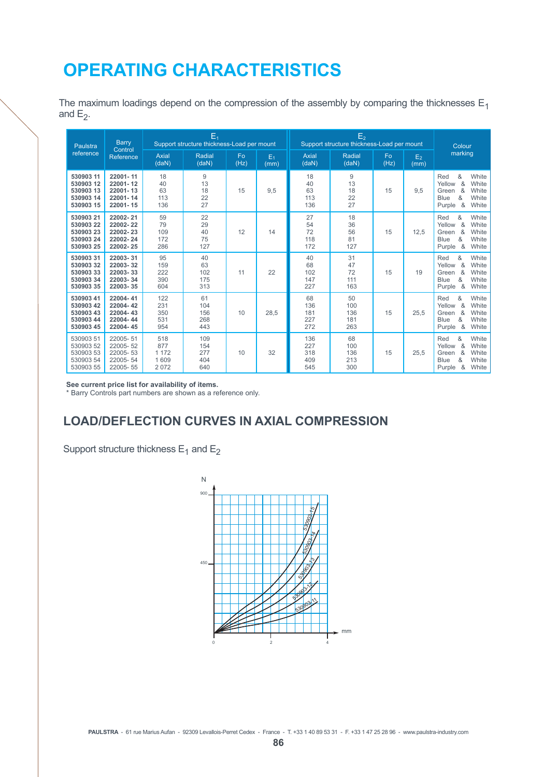### **OPERATING CHARACTERISTICS**

The maximum loadings depend on the compression of the assembly by comparing the thicknesses  $E_1$ and  $E_2$ .

| Paulstra<br>reference                                         | <b>Barry</b><br>Control<br>Reference                     | $E_1$<br>Support structure thickness-Load per mount |                                 |            |               | E <sub>2</sub><br>Support structure thickness-Load per mount |                                        |            |                        | Colour                                                                                                                |  |
|---------------------------------------------------------------|----------------------------------------------------------|-----------------------------------------------------|---------------------------------|------------|---------------|--------------------------------------------------------------|----------------------------------------|------------|------------------------|-----------------------------------------------------------------------------------------------------------------------|--|
|                                                               |                                                          | <b>Axial</b><br>(daN)                               | Radial<br>(daN)                 | Fo<br>(Hz) | $E_1$<br>(mm) | <b>Axial</b><br>(daN)                                        | Radial<br>(daN)                        | Fo<br>(Hz) | E <sub>2</sub><br>(mm) | marking                                                                                                               |  |
| 530903 11<br>530903 12<br>530903 13<br>530903 14<br>530903 15 | 22001-11<br>22001-12<br>22001-13<br>22001-14<br>22001-15 | 18<br>40<br>63<br>113<br>136                        | 9<br>13<br>18<br>22<br>27       | 15         | 9,5           | 18<br>40<br>63<br>113<br>136                                 | $\overline{9}$<br>13<br>18<br>22<br>27 | 15         | 9.5                    | &<br>White<br>Red<br>&<br>Yellow<br>White<br>&<br>White<br>Green<br>&<br>White<br><b>Blue</b><br>&<br>White<br>Purple |  |
| 530903 21<br>53090322<br>53090323<br>53090324<br>530903 25    | 22002-21<br>22002-22<br>22002-23<br>22002-24<br>22002-25 | 59<br>79<br>109<br>172<br>286                       | 22<br>29<br>40<br>75<br>127     | 12         | 14            | 27<br>54<br>72<br>118<br>172                                 | 18<br>36<br>56<br>81<br>127            | 15         | 12,5                   | &<br>White<br>Red<br>Yellow<br>&<br>White<br>&<br>White<br>Green<br>&<br>White<br><b>Blue</b><br>&<br>Purple<br>White |  |
| 53090331<br>53090332<br>53090333<br>53090334<br>530903 35     | 22003-31<br>22003-32<br>22003-33<br>22003-34<br>22003-35 | 95<br>159<br>222<br>390<br>604                      | 40<br>63<br>102<br>175<br>313   | 11         | 22            | 40<br>68<br>102<br>147<br>227                                | 31<br>47<br>72<br>111<br>163           | 15         | 19                     | &<br>White<br>Red<br>Yellow<br>&<br>White<br>&<br>White<br>Green<br>&<br>White<br><b>Blue</b><br>&<br>White<br>Purple |  |
| 530903 41<br>530903 42<br>530903 43<br>530903 44<br>530903 45 | 22004-41<br>22004-42<br>22004-43<br>22004-44<br>22004-45 | 122<br>231<br>350<br>531<br>954                     | 61<br>104<br>156<br>268<br>443  | 10         | 28,5          | 68<br>136<br>181<br>227<br>272                               | 50<br>100<br>136<br>181<br>263         | 15         | 25.5                   | &<br>White<br>Red<br>&<br>Yellow<br>White<br>&<br>White<br>Green<br>&<br>White<br><b>Blue</b><br>&<br>Purple<br>White |  |
| 530903 51<br>530903 52<br>530903 53<br>530903 54<br>530903 55 | 22005-51<br>22005-52<br>22005-53<br>22005-54<br>22005-55 | 518<br>877<br>1 1 7 2<br>1 609<br>2 0 7 2           | 109<br>154<br>277<br>404<br>640 | 10         | 32            | 136<br>227<br>318<br>409<br>545                              | 68<br>100<br>136<br>213<br>300         | 15         | 25,5                   | &<br>White<br>Red<br>&<br>Yellow<br>White<br>White<br>&<br>Green<br>&<br>White<br><b>Blue</b><br>&<br>White<br>Purple |  |

**See current price list for availability of items.**

\* Barry Controls part numbers are shown as a reference only.

#### **LOAD/DEFLECTION CURVES IN AXIAL COMPRESSION**

Support structure thickness  $E_1$  and  $E_2$